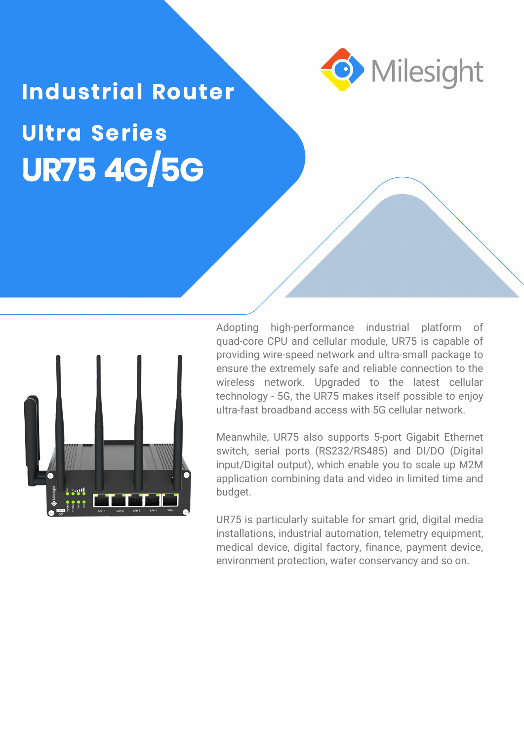

# **Industrial Router Ultra Series UR75 4G/5G**



Adopting high-performance industrial platform of quad-core CPU and cellular module, UR75 is capable of providing wire-speed network and ultra-small package to ensure the extremely safe and reliable connection to the wireless network. Upgraded to the latest cellular technology - 5G, the UR75 makes itself possible to enjoy ultra-fast broadband access with 5G cellular network.

Meanwhile, UR75 also supports 5-port Gigabit Ethernet switch, serial ports (RS232/RS485) and DI/DO (Digital input/Digital output), which enable you to scale up M2M application combining data and video in limited time and budget.

UR75 is particularly suitable for smart grid, digital media installations, industrial automation, telemetry equipment,<br>medical device, digital factory, finance, payment device, environment protection, water conservancy and so on.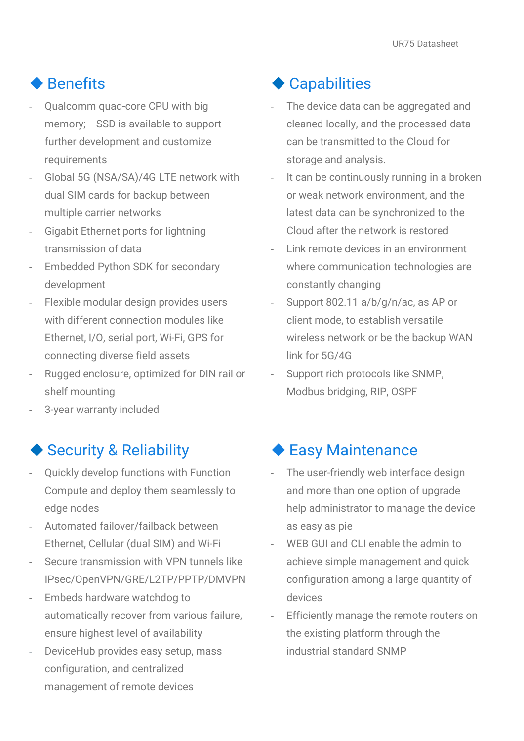#### ◆ Benefits

- Qualcomm quad-core CPU with big memory; SSD is available to support further development and customize requirements
- Global 5G (NSA/SA)/4G LTE network with dual SIM cards for backup between multiple carrier networks
- Gigabit Ethernet ports for lightning transmission of data
- Embedded Python SDK for secondary development
- Flexible modular design provides users with different connection modules like Ethernet, I/O, serial port, Wi-Fi, GPS for connecting diverse field assets
- Rugged enclosure, optimized for DIN rail or shelf mounting
- 3-year warranty included

#### ◆ Security & Reliability

- Quickly develop functions with Function Compute and deploy them seamlessly to edge nodes
- Automated failover/failback between Ethernet, Cellular (dual SIM) and Wi-Fi
- Secure transmission with VPN tunnels like IPsec/OpenVPN/GRE/L2TP/PPTP/DMVPN
- Embeds hardware watchdog to automatically recover from various failure, ensure highest level of availability
- DeviceHub provides easy setup, mass configuration, and centralized management of remote devices

#### ◆ Capabilities

- The device data can be aggregated and cleaned locally, and the processed data can be transmitted to the Cloud for storage and analysis.
- It can be continuously running in a broken or weak network environment, and the latest data can be synchronized to the Cloud after the network is restored
- Link remote devices in an environment where communication technologies are constantly changing
- Support 802.11 a/b/g/n/ac, as AP or client mode, to establish versatile wireless network or be the backup WAN link for 5G/4G
- Support rich protocols like SNMP, Modbus bridging, RIP, OSPF

#### ◆ Easy Maintenance

- The user-friendly web interface design and more than one option of upgrade help administrator to manage the device as easy as pie
- WEB GUI and CLI enable the admin to achieve simple management and quick configuration among a large quantity of devices
- Efficiently manage the remote routers on the existing platform through the industrial standard SNMP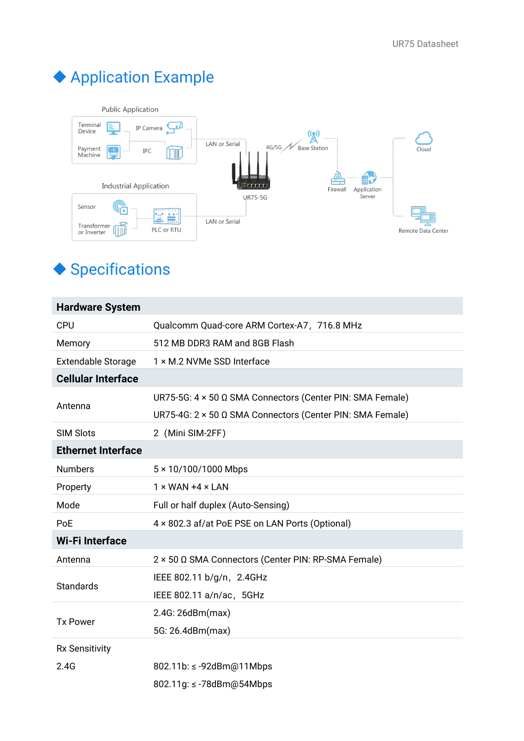## Application Example



### ◆ Specifications

| <b>Hardware System</b>    |                                                           |
|---------------------------|-----------------------------------------------------------|
| <b>CPU</b>                | Qualcomm Quad-core ARM Cortex-A7, 716.8 MHz               |
| Memory                    | 512 MB DDR3 RAM and 8GB Flash                             |
| <b>Extendable Storage</b> | 1 × M.2 NVMe SSD Interface                                |
| <b>Cellular Interface</b> |                                                           |
|                           | UR75-5G: 4 × 50 Ω SMA Connectors (Center PIN: SMA Female) |
| Antenna                   | UR75-4G: 2 × 50 Ω SMA Connectors (Center PIN: SMA Female) |
| <b>SIM Slots</b>          | 2 (Mini SIM-2FF)                                          |
| <b>Ethernet Interface</b> |                                                           |
| <b>Numbers</b>            | 5 × 10/100/1000 Mbps                                      |
| Property                  | $1 \times$ WAN +4 $\times$ LAN                            |
| Mode                      | Full or half duplex (Auto-Sensing)                        |
| PoE                       | 4 x 802.3 af/at PoE PSE on LAN Ports (Optional)           |
| <b>Wi-Filnterface</b>     |                                                           |
| Antenna                   | 2 × 50 Ω SMA Connectors (Center PIN: RP-SMA Female)       |
|                           | IEEE 802.11 b/g/n, 2.4GHz                                 |
| <b>Standards</b>          | IEEE 802.11 a/n/ac, 5GHz                                  |
| <b>Tx Power</b>           | 2.4G: 26dBm(max)                                          |
|                           | 5G: 26.4dBm(max)                                          |
| <b>Rx Sensitivity</b>     |                                                           |
| 2.4G                      | 802.11b: ≤ -92dBm@11Mbps                                  |
|                           | 802.11g: ≤ -78dBm@54Mbps                                  |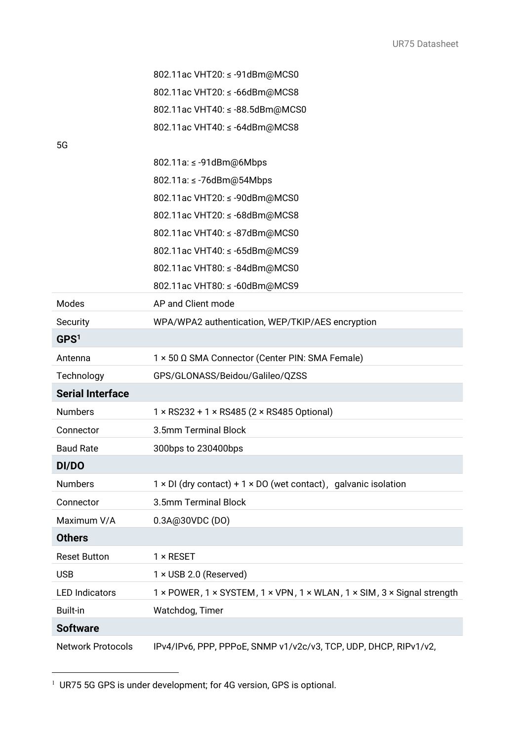|                          | 802.11ac VHT20: ≤ -91dBm@MCS0                                                 |
|--------------------------|-------------------------------------------------------------------------------|
|                          | 802.11ac VHT20: ≤ -66dBm@MCS8                                                 |
|                          | 802.11ac VHT40: ≤ -88.5dBm@MCS0                                               |
|                          | 802.11ac VHT40: ≤ -64dBm@MCS8                                                 |
| 5G                       |                                                                               |
|                          | 802.11a: ≤ -91dBm@6Mbps                                                       |
|                          | 802.11a: ≤ -76dBm@54Mbps                                                      |
|                          | 802.11ac VHT20: ≤ -90dBm@MCS0                                                 |
|                          | 802.11ac VHT20: ≤ -68dBm@MCS8                                                 |
|                          | 802.11ac VHT40: ≤ -87dBm@MCS0                                                 |
|                          | 802.11ac VHT40: ≤ -65dBm@MCS9                                                 |
|                          | 802.11ac VHT80: ≤ -84dBm@MCS0                                                 |
|                          | 802.11ac VHT80: ≤ -60dBm@MCS9                                                 |
| Modes                    | AP and Client mode                                                            |
| Security                 | WPA/WPA2 authentication, WEP/TKIP/AES encryption                              |
| GPS <sup>1</sup>         |                                                                               |
| Antenna                  | 1 × 50 Ω SMA Connector (Center PIN: SMA Female)                               |
| Technology               | GPS/GLONASS/Beidou/Galileo/QZSS                                               |
| <b>Serial Interface</b>  |                                                                               |
| <b>Numbers</b>           | $1 \times$ RS232 + 1 $\times$ RS485 (2 $\times$ RS485 Optional)               |
| Connector                | 3.5mm Terminal Block                                                          |
| <b>Baud Rate</b>         | 300bps to 230400bps                                                           |
| DI/DO                    |                                                                               |
| <b>Numbers</b>           | $1 \times$ DI (dry contact) + 1 $\times$ DO (wet contact), galvanic isolation |
| Connector                | 3.5mm Terminal Block                                                          |
| Maximum V/A              | 0.3A@30VDC (DO)                                                               |
| <b>Others</b>            |                                                                               |
| <b>Reset Button</b>      | $1 \times$ RESET                                                              |
| <b>USB</b>               | 1 × USB 2.0 (Reserved)                                                        |
| <b>LED Indicators</b>    | 1 × POWER, 1 × SYSTEM, 1 × VPN, 1 × WLAN, 1 × SIM, 3 × Signal strength        |
| <b>Built-in</b>          | Watchdog, Timer                                                               |
| <b>Software</b>          |                                                                               |
| <b>Network Protocols</b> | IPv4/IPv6, PPP, PPPoE, SNMP v1/v2c/v3, TCP, UDP, DHCP, RIPv1/v2,              |

<span id="page-3-0"></span> $1$  UR75 5G GPS is under development; for 4G version, GPS is optional.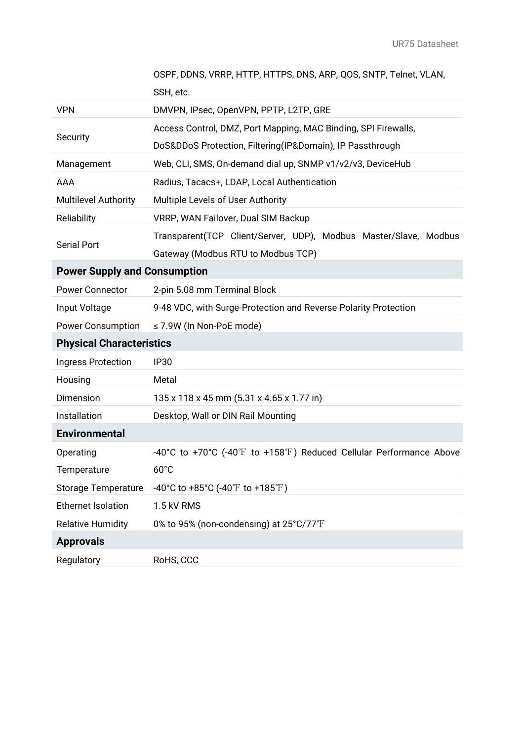|                                     | OSPF, DDNS, VRRP, HTTP, HTTPS, DNS, ARP, QOS, SNTP, Telnet, VLAN,   |
|-------------------------------------|---------------------------------------------------------------------|
|                                     | SSH, etc.                                                           |
| <b>VPN</b>                          | DMVPN, IPsec, OpenVPN, PPTP, L2TP, GRE                              |
| Security                            | Access Control, DMZ, Port Mapping, MAC Binding, SPI Firewalls,      |
|                                     | DoS&DDoS Protection, Filtering(IP&Domain), IP Passthrough           |
| Management                          | Web, CLI, SMS, On-demand dial up, SNMP v1/v2/v3, DeviceHub          |
| AAA                                 | Radius, Tacacs+, LDAP, Local Authentication                         |
| <b>Multilevel Authority</b>         | Multiple Levels of User Authority                                   |
| Reliability                         | VRRP, WAN Failover, Dual SIM Backup                                 |
| <b>Serial Port</b>                  | Transparent(TCP Client/Server, UDP), Modbus Master/Slave, Modbus    |
|                                     | Gateway (Modbus RTU to Modbus TCP)                                  |
| <b>Power Supply and Consumption</b> |                                                                     |
| <b>Power Connector</b>              | 2-pin 5.08 mm Terminal Block                                        |
| Input Voltage                       | 9-48 VDC, with Surge-Protection and Reverse Polarity Protection     |
| <b>Power Consumption</b>            | $\leq$ 7.9W (In Non-PoE mode)                                       |
| <b>Physical Characteristics</b>     |                                                                     |
| Ingress Protection                  | <b>IP30</b>                                                         |
| Housing                             | Metal                                                               |
| Dimension                           | 135 x 118 x 45 mm (5.31 x 4.65 x 1.77 in)                           |
| Installation                        | Desktop, Wall or DIN Rail Mounting                                  |
| <b>Environmental</b>                |                                                                     |
| Operating                           | -40°C to +70°C (-40°F to +158°F) Reduced Cellular Performance Above |
| Temperature                         | $60^{\circ}$ C                                                      |
| <b>Storage Temperature</b>          | -40°C to +85°C (-40°F to +185°F)                                    |
| <b>Ethernet Isolation</b>           | 1.5 kV RMS                                                          |
| <b>Relative Humidity</b>            | 0% to 95% (non-condensing) at 25°C/77°F                             |
| <b>Approvals</b>                    |                                                                     |
| Regulatory                          | RoHS, CCC                                                           |